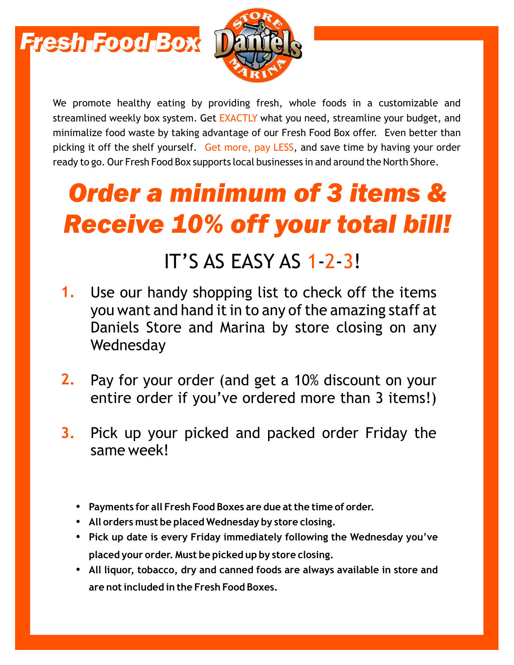



We promote healthy eating by providing fresh, whole foods in a customizable and streamlined weekly box system. Get EXACTLY what you need, streamline your budget, and minimalize food waste by taking advantage of our Fresh Food Box offer. Even better than picking it off the shelf yourself. Get more, pay LESS, and save time by having your order ready to go. Our Fresh Food Box supports local businesses in and around the North Shore.

# *Order a minimum of 3 items & Receive 10% off your total bill!*

### IT'S AS EASY AS 1-2-3!

- Use our handy shopping list to check off the items you want and hand it in to any of the amazing staff at Daniels Store and Marina by store closing on any Wednesday **1.**
- Pay for your order (and get a 10% discount on your entire order if you've ordered more than 3 items!) **2.**
- Pick up your picked and packed order Friday the same week! **3.**
	- **Payments for all Fresh Food Boxes are due at the time of order.**
	- **All orders must be placed Wednesday by store closing.**
	- Pick up date is every Friday immediately following the Wednesday you've **placed your order. Must be picked up by store closing.**
	- All liguor, tobacco, dry and canned foods are always available in store and **are not included in the Fresh Food Boxes.**